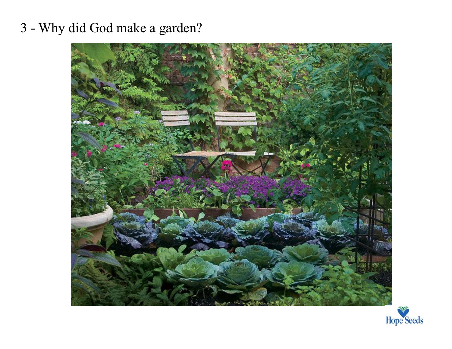## 3 - Why did God make a garden?